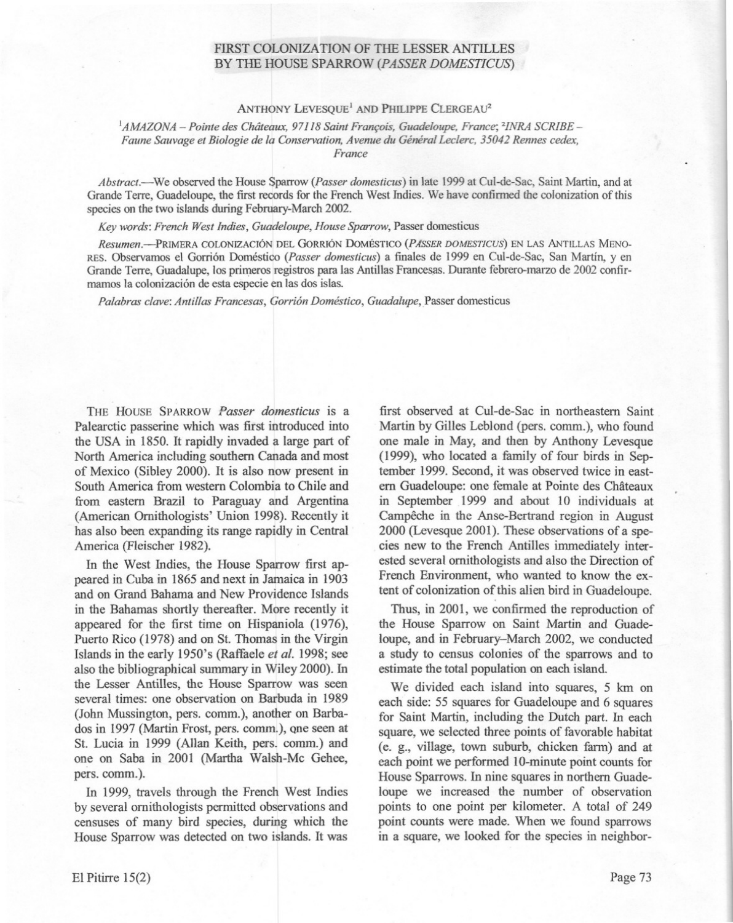## FIRST COLONIZATION OF THE LESSER ANTILLES BY THE HOUSE SPARROW *(PASSER DOMESTICUS)*

### ANTHONY LEVESQUE<sup>1</sup> AND PHILIPPE CLERGEAU<sup>2</sup>

#### *IAMAZONA* - *Pointe des Châteaux,* 97] *<sup>18</sup> Saint François, Guadeloupe, France; "INRA SCRIBE - Faune Sauvage et Biologie de la Conservation,* Avenue *du GénéralLeclerc. 35042 Rennes cedex, France*

*Abstract.*—We observed the House Sparrow (*Passer domesticus*) in late 1999 at Cul-de-Sac, Saint Martin, and at Grande Terre, Guadeloupe, the first records for the French West Indies. We have confirmed the colonization of this species on the two islands during February-March 2002.

*Key words: French Westlndies, Guadeloupe, House Sparrow,* Passer domesticus

*Resumen.-PRlMERA* COLONJZACION DEL GoRRION DoMBsTICO *(PASSER DOMESTICUS)* EN LAS ANTILLAS MENO-RES.Observamos el Gorri6n Doméstico *(Passer domesticus)* a finales de 1999 en Cul-de-Sac, San Martin, y en Grande Terre, Guadalupe, los primeros registros para las Antillas Francesas. Durante febrero-marzo de 2002 confirmamos la colonización de esta especie en las dos islas.

*Palabras clave:Antillas Francesas, Gorrion Doméstico, Guadalupe,*Passer domesticus

THE HOUSE SPARROW Passer domesticus is a Palearctic passerine which was first introduced into the USA in 1850. It rapidly invaded a large part of North America including southem Canada and most of Mexico (Sibley 2000). It is also now present in South America from western Colombia to Chile and from eastern Brazil to Paraguay and Argentina (American Ornithologists' Union 1998). Recently it has also been expanding its range rapidly in Central America (Fleischer 1982).

In the West Indies, the House Sparrow first appeared in Cuba in 1865 and next in Jamaica in 1903 and on Grand Bahama and New Providence Islands in the Bahamas shortly thereafter. More recently it appeared for the first time on Hispaniola (1976), Puerto Rico (1978) and on St. Thomas in the Virgin Islands in the early 1950's (Raffaele *et al.* 1998; see also the bibliographical summary in Wiley 2000). ln the Lesser Antilles, the House Sparrow was seen several times: one observation on Barbuda in 1989 (John Mussington, pers. comm.), another on Barbados in 1997 (Martin Frost, pers. comm.), one seen at St. Lucia in 1999 (Allan Keith, pers. comm.) and one on Saba in 2001 (Martha Walsh-Mc Gehee, pers. comm.).

ln 1999, travels through the French West lndies by several omithologists permitted observations and censuses of many bird species, during which the House Sparrow was detected on two islands. It was first observed at Cul-de-Sac in northeastem Saint Martin by Gilles Leblond (pers. comm.), who found one male in May, and then by Anthony Levesque (1999), who located a family of four birds in September 1999. Second, it was observed twice in eastem Guadeloupe: one female at Pointe des Châteaux in September 1999 and about 10 individuals at Campêche in the Anse-Bertrand region in August 2000 (Levesque 2001). These observations of a species new to the French Antilles immediately interested several ornithologists and also the Direction of French Environment, who wanted to know the extent of colonization of this alien bird in Guadeloupe.

Thus, in 2001, we confirmed the reproduction of the House Sparrow on Saint Martin and Guadeloupe, and in February-March 2002, we conducted a study to census colonies of the sparrows and to estimate the total population on each island

We divided each island into squares, 5 km on each side: 55 squares for Guadeloupe and 6 squares for Saint Martin, including the Dutch part. ln each square, we selected three points of favorable habitat (e. g., village, town suburb, chicken farm) and at each point we performed 10-minute point counts for House Sparrows. ln nine squares in northem Guadeloupe we increased the number of observation points to one point per kilometer. A total of 249 point counts were made. When we found sparrows in a square, we looked for the species in neighbor-